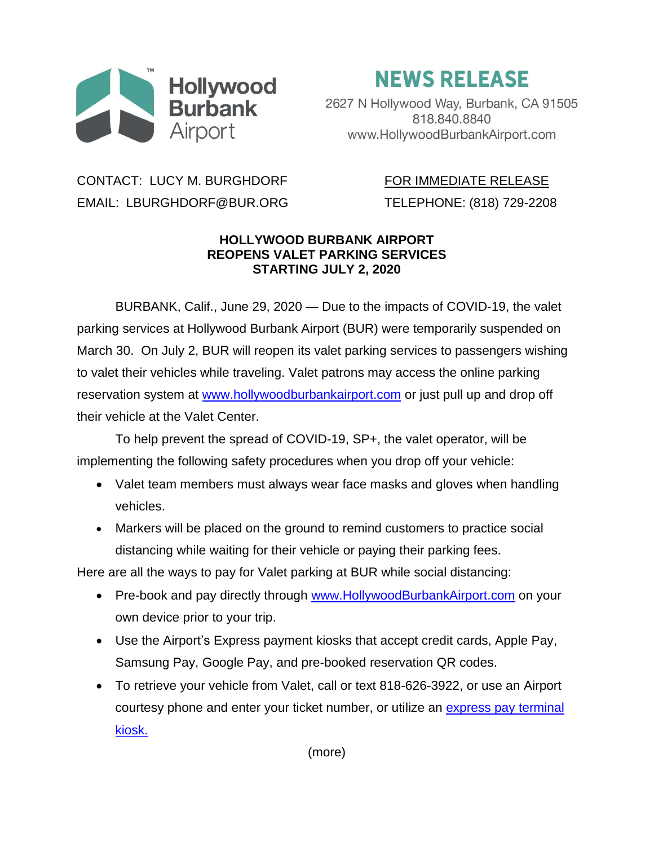

## **NEWS RELEASE**

2627 N Hollywood Way, Burbank, CA 91505 818.840.8840 www.HollywoodBurbankAirport.com

## CONTACT: LUCY M. BURGHDORF FOR IMMEDIATE RELEASE EMAIL: LBURGHDORF@BUR.ORG TELEPHONE: (818) 729-2208

## **HOLLYWOOD BURBANK AIRPORT REOPENS VALET PARKING SERVICES STARTING JULY 2, 2020**

BURBANK, Calif., June 29, 2020 — Due to the impacts of COVID-19, the valet parking services at Hollywood Burbank Airport (BUR) were temporarily suspended on March 30. On July 2, BUR will reopen its valet parking services to passengers wishing to valet their vehicles while traveling. Valet patrons may access the online parking reservation system at [www.hollywoodburbankairport.com](http://www.hollywoodburbankairport.com/) or just pull up and drop off their vehicle at the Valet Center.

To help prevent the spread of COVID-19, SP+, the valet operator, will be implementing the following safety procedures when you drop off your vehicle:

- Valet team members must always wear face masks and gloves when handling vehicles.
- Markers will be placed on the ground to remind customers to practice social distancing while waiting for their vehicle or paying their parking fees.

Here are all the ways to pay for Valet parking at BUR while social distancing:

- Pre-book and pay directly through [www.HollywoodBurbankAirport.com](http://www.hollywoodburbankairport.com/) on your own device prior to your trip.
- Use the Airport's Express payment kiosks that accept credit cards, Apple Pay, Samsung Pay, Google Pay, and pre-booked reservation QR codes.
- To retrieve your vehicle from Valet, call or text 818-626-3922, or use an Airport courtesy phone and enter your ticket number, or utilize an [express pay terminal](https://hollywoodburbankairport.com/parking/parking-maps/)  [kiosk.](https://hollywoodburbankairport.com/parking/parking-maps/)

(more)